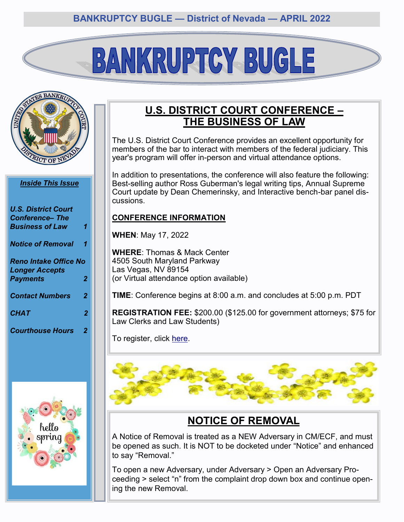# BANKRUPTCY BUGLE



#### *Inside This Issue*

| <b>U.S. District Court</b><br><b>Conference– The</b>  |                |
|-------------------------------------------------------|----------------|
| <b>Business of Law</b>                                | 1              |
| <b>Notice of Removal</b>                              | 1              |
| <b>Reno Intake Office No</b><br><b>Longer Accepts</b> |                |
| <b>Payments</b>                                       | $\overline{2}$ |
| <b>Contact Numbers</b>                                | $\overline{2}$ |
| <b>CHAT</b>                                           | 2              |
| <b>Courthouse Hours</b>                               | 2              |



# **U.S. DISTRICT COURT CONFERENCE – THE BUSINESS OF LAW**

The U.S. District Court Conference provides an excellent opportunity for members of the bar to interact with members of the federal judiciary. This year's program will offer in-person and virtual attendance options.

In addition to presentations, the conference will also feature the following: Best-selling author Ross Guberman's legal writing tips, Annual Supreme Court update by Dean Chemerinsky, and Interactive bench-bar panel discussions.

#### **CONFERENCE INFORMATION**

**WHEN**: May 17, 2022

**WHERE**: Thomas & Mack Center 4505 South Maryland Parkway Las Vegas, NV 89154 (or Virtual attendance option available)

**TIME**: Conference begins at 8:00 a.m. and concludes at 5:00 p.m. PDT

**REGISTRATION FEE:** \$200.00 (\$125.00 for government attorneys; \$75 for Law Clerks and Law Students)

To register, click [here.](https://www.eventbrite.com/e/2022-district-court-conference-tickets-258164124847)



# **NOTICE OF REMOVAL**

A Notice of Removal is treated as a NEW Adversary in CM/ECF, and must be opened as such. It is NOT to be docketed under "Notice" and enhanced to say "Removal."

To open a new Adversary, under Adversary > Open an Adversary Proceeding > select "n" from the complaint drop down box and continue opening the new Removal.